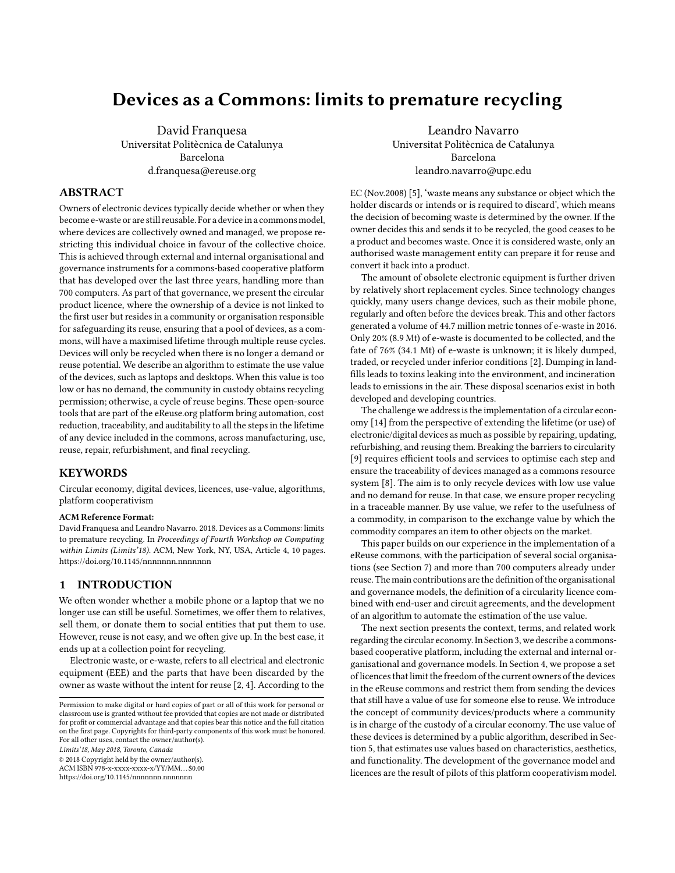# Devices as a Commons: limits to premature recycling

David Franquesa Universitat Politècnica de Catalunya Barcelona d.franquesa@ereuse.org

### ABSTRACT

Owners of electronic devices typically decide whether or when they become e-waste or are still reusable. For a device in a commons model, where devices are collectively owned and managed, we propose restricting this individual choice in favour of the collective choice. This is achieved through external and internal organisational and governance instruments for a commons-based cooperative platform that has developed over the last three years, handling more than 700 computers. As part of that governance, we present the circular product licence, where the ownership of a device is not linked to the first user but resides in a community or organisation responsible for safeguarding its reuse, ensuring that a pool of devices, as a commons, will have a maximised lifetime through multiple reuse cycles. Devices will only be recycled when there is no longer a demand or reuse potential. We describe an algorithm to estimate the use value of the devices, such as laptops and desktops. When this value is too low or has no demand, the community in custody obtains recycling permission; otherwise, a cycle of reuse begins. These open-source tools that are part of the eReuse.org platform bring automation, cost reduction, traceability, and auditability to all the steps in the lifetime of any device included in the commons, across manufacturing, use, reuse, repair, refurbishment, and final recycling.

# KEYWORDS

Circular economy, digital devices, licences, use-value, algorithms, platform cooperativism

#### ACM Reference Format:

David Franquesa and Leandro Navarro. 2018. Devices as a Commons: limits to premature recycling. In Proceedings of Fourth Workshop on Computing within Limits (Limits'18). ACM, New York, NY, USA, Article 4, [10](#page-9-0) pages. <https://doi.org/10.1145/nnnnnnn.nnnnnnn>

# 1 INTRODUCTION

We often wonder whether a mobile phone or a laptop that we no longer use can still be useful. Sometimes, we offer them to relatives, sell them, or donate them to social entities that put them to use. However, reuse is not easy, and we often give up. In the best case, it ends up at a collection point for recycling.

Electronic waste, or e-waste, refers to all electrical and electronic equipment (EEE) and the parts that have been discarded by the owner as waste without the intent for reuse [\[2,](#page-8-0) [4\]](#page-9-1). According to the

Limits'18, May 2018, Toronto, Canada

© 2018 Copyright held by the owner/author(s).

ACM ISBN 978-x-xxxx-xxxx-x/YY/MM. . . \$0.00

<https://doi.org/10.1145/nnnnnnn.nnnnnnn>

Leandro Navarro Universitat Politècnica de Catalunya Barcelona leandro.navarro@upc.edu

EC (Nov.2008) [\[5\]](#page-9-2), 'waste means any substance or object which the holder discards or intends or is required to discard', which means the decision of becoming waste is determined by the owner. If the owner decides this and sends it to be recycled, the good ceases to be a product and becomes waste. Once it is considered waste, only an authorised waste management entity can prepare it for reuse and convert it back into a product.

The amount of obsolete electronic equipment is further driven by relatively short replacement cycles. Since technology changes quickly, many users change devices, such as their mobile phone, regularly and often before the devices break. This and other factors generated a volume of 44.7 million metric tonnes of e-waste in 2016. Only 20% (8.9 Mt) of e-waste is documented to be collected, and the fate of 76% (34.1 Mt) of e-waste is unknown; it is likely dumped, traded, or recycled under inferior conditions [\[2\]](#page-8-0). Dumping in landfills leads to toxins leaking into the environment, and incineration leads to emissions in the air. These disposal scenarios exist in both developed and developing countries.

The challenge we address is the implementation of a circular economy [\[14\]](#page-9-3) from the perspective of extending the lifetime (or use) of electronic/digital devices as much as possible by repairing, updating, refurbishing, and reusing them. Breaking the barriers to circularity [\[9\]](#page-9-4) requires efficient tools and services to optimise each step and ensure the traceability of devices managed as a commons resource system [\[8\]](#page-9-5). The aim is to only recycle devices with low use value and no demand for reuse. In that case, we ensure proper recycling in a traceable manner. By use value, we refer to the usefulness of a commodity, in comparison to the exchange value by which the commodity compares an item to other objects on the market.

This paper builds on our experience in the implementation of a eReuse commons, with the participation of several social organisations (see Section [7\)](#page-8-1) and more than 700 computers already under reuse. The main contributions are the definition of the organisational and governance models, the definition of a circularity licence combined with end-user and circuit agreements, and the development of an algorithm to automate the estimation of the use value.

The next section presents the context, terms, and related work regarding the circular economy.In Section [3,](#page-1-0) we describe a commonsbased cooperative platform, including the external and internal organisational and governance models. In Section [4,](#page-5-0) we propose a set of licences that limit the freedom of the current owners of the devices in the eReuse commons and restrict them from sending the devices that still have a value of use for someone else to reuse. We introduce the concept of community devices/products where a community is in charge of the custody of a circular economy. The use value of these devices is determined by a public algorithm, described in Section [5,](#page-6-0) that estimates use values based on characteristics, aesthetics, and functionality. The development of the governance model and licences are the result of pilots of this platform cooperativism model.

Permission to make digital or hard copies of part or all of this work for personal or classroom use is granted without fee provided that copies are not made or distributed for profit or commercial advantage and that copies bear this notice and the full citation on the first page. Copyrights for third-party components of this work must be honored. For all other uses, contact the owner/author(s).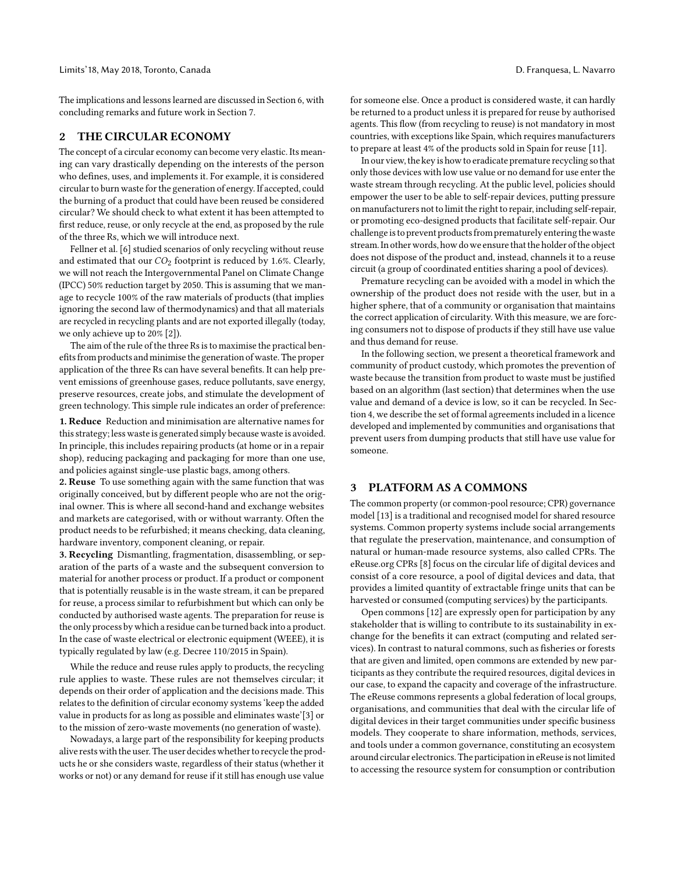The implications and lessons learned are discussed in Section [6,](#page-8-2) with concluding remarks and future work in Section [7.](#page-8-3)

### 2 THE CIRCULAR ECONOMY

The concept of a circular economy can become very elastic. Its meaning can vary drastically depending on the interests of the person who defines, uses, and implements it. For example, it is considered circular to burn waste for the generation of energy. If accepted, could the burning of a product that could have been reused be considered circular? We should check to what extent it has been attempted to first reduce, reuse, or only recycle at the end, as proposed by the rule of the three Rs, which we will introduce next.

Fellner et al. [\[6\]](#page-9-6) studied scenarios of only recycling without reuse and estimated that our  $CO<sub>2</sub>$  footprint is reduced by 1.6%. Clearly, we will not reach the Intergovernmental Panel on Climate Change (IPCC) 50% reduction target by 2050. This is assuming that we manage to recycle 100% of the raw materials of products (that implies ignoring the second law of thermodynamics) and that all materials are recycled in recycling plants and are not exported illegally (today, we only achieve up to 20% [\[2\]](#page-8-0)).

The aim of the rule of the three Rs is to maximise the practical benefits from products and minimise the generation of waste. The proper application of the three Rs can have several benefits. It can help prevent emissions of greenhouse gases, reduce pollutants, save energy, preserve resources, create jobs, and stimulate the development of green technology. This simple rule indicates an order of preference:

1. Reduce Reduction and minimisation are alternative names for this strategy; less waste is generated simply because waste is avoided. In principle, this includes repairing products (at home or in a repair shop), reducing packaging and packaging for more than one use, and policies against single-use plastic bags, among others.

2. Reuse To use something again with the same function that was originally conceived, but by different people who are not the original owner. This is where all second-hand and exchange websites and markets are categorised, with or without warranty. Often the product needs to be refurbished; it means checking, data cleaning, hardware inventory, component cleaning, or repair.

3. Recycling Dismantling, fragmentation, disassembling, or separation of the parts of a waste and the subsequent conversion to material for another process or product. If a product or component that is potentially reusable is in the waste stream, it can be prepared for reuse, a process similar to refurbishment but which can only be conducted by authorised waste agents. The preparation for reuse is the only process by which a residue can be turned back into a product. In the case of waste electrical or electronic equipment (WEEE), it is typically regulated by law (e.g. Decree 110/2015 in Spain).

While the reduce and reuse rules apply to products, the recycling rule applies to waste. These rules are not themselves circular; it depends on their order of application and the decisions made. This relates to the definition of circular economy systems 'keep the added value in products for as long as possible and eliminates waste'[\[3\]](#page-8-4) or to the mission of zero-waste movements (no generation of waste).

Nowadays, a large part of the responsibility for keeping products alive rests with the user. The user decides whether to recycle the products he or she considers waste, regardless of their status (whether it works or not) or any demand for reuse if it still has enough use value

for someone else. Once a product is considered waste, it can hardly be returned to a product unless it is prepared for reuse by authorised agents. This flow (from recycling to reuse) is not mandatory in most countries, with exceptions like Spain, which requires manufacturers to prepare at least 4% of the products sold in Spain for reuse [\[11\]](#page-9-7).

In our view, the keyis how to eradicate premature recycling so that only those devices with low use value or no demand for use enter the waste stream through recycling. At the public level, policies should empower the user to be able to self-repair devices, putting pressure on manufacturers not to limit the right to repair, including self-repair, or promoting eco-designed products that facilitate self-repair. Our challenge is to prevent products from prematurely entering the waste stream.In other words, how do we ensure that the holder of the object does not dispose of the product and, instead, channels it to a reuse circuit (a group of coordinated entities sharing a pool of devices).

Premature recycling can be avoided with a model in which the ownership of the product does not reside with the user, but in a higher sphere, that of a community or organisation that maintains the correct application of circularity. With this measure, we are forcing consumers not to dispose of products if they still have use value and thus demand for reuse.

In the following section, we present a theoretical framework and community of product custody, which promotes the prevention of waste because the transition from product to waste must be justified based on an algorithm (last section) that determines when the use value and demand of a device is low, so it can be recycled. In Section [4,](#page-5-0) we describe the set of formal agreements included in a licence developed and implemented by communities and organisations that prevent users from dumping products that still have use value for someone.

#### <span id="page-1-0"></span>3 PLATFORM AS A COMMONS

The common property (or common-pool resource; CPR) governance model [\[13\]](#page-9-8) is a traditional and recognised model for shared resource systems. Common property systems include social arrangements that regulate the preservation, maintenance, and consumption of natural or human-made resource systems, also called CPRs. The eReuse.org CPRs [\[8\]](#page-9-5) focus on the circular life of digital devices and consist of a core resource, a pool of digital devices and data, that provides a limited quantity of extractable fringe units that can be harvested or consumed (computing services) by the participants.

Open commons [\[12\]](#page-9-9) are expressly open for participation by any stakeholder that is willing to contribute to its sustainability in exchange for the benefits it can extract (computing and related services). In contrast to natural commons, such as fisheries or forests that are given and limited, open commons are extended by new participants as they contribute the required resources, digital devices in our case, to expand the capacity and coverage of the infrastructure. The eReuse commons represents a global federation of local groups, organisations, and communities that deal with the circular life of digital devices in their target communities under specific business models. They cooperate to share information, methods, services, and tools under a common governance, constituting an ecosystem around circular electronics. The participation in eReuse is not limited to accessing the resource system for consumption or contribution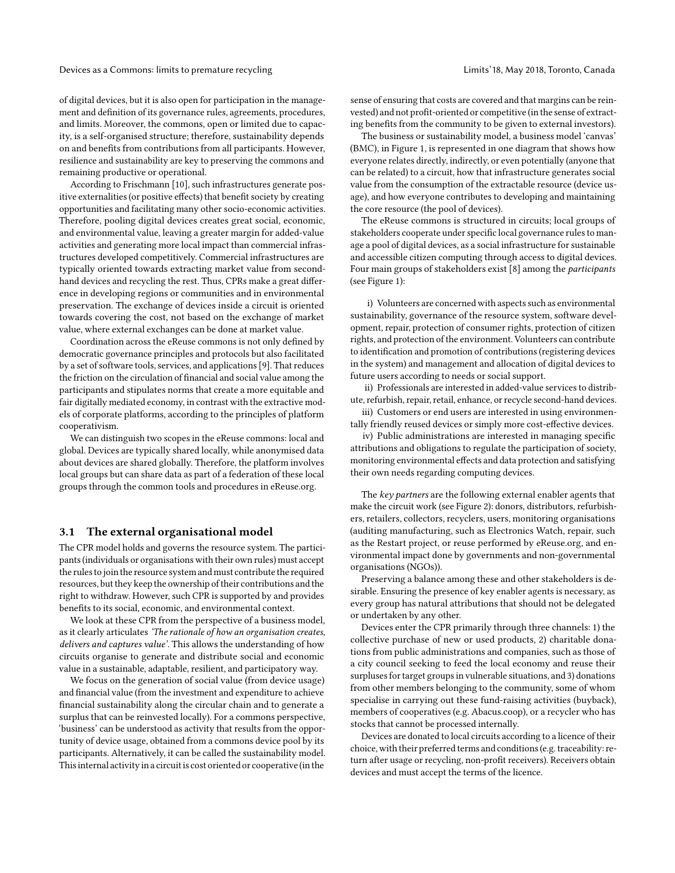Devices as a Commons: limits to premature recycling Limits' 18, May 2018, Toronto, Canada

of digital devices, but it is also open for participation in the management and definition of its governance rules, agreements, procedures, and limits. Moreover, the commons, open or limited due to capacity, is a self-organised structure; therefore, sustainability depends on and benefits from contributions from all participants. However, resilience and sustainability are key to preserving the commons and remaining productive or operational.

According to Frischmann [\[10\]](#page-9-10), such infrastructures generate positive externalities (or positive effects) that benefit society by creating opportunities and facilitating many other socio-economic activities. Therefore, pooling digital devices creates great social, economic, and environmental value, leaving a greater margin for added-value activities and generating more local impact than commercial infrastructures developed competitively. Commercial infrastructures are typically oriented towards extracting market value from secondhand devices and recycling the rest. Thus, CPRs make a great difference in developing regions or communities and in environmental preservation. The exchange of devices inside a circuit is oriented towards covering the cost, not based on the exchange of market value, where external exchanges can be done at market value.

Coordination across the eReuse commons is not only defined by democratic governance principles and protocols but also facilitated by a set of software tools, services, and applications [\[9\]](#page-9-4). That reduces the friction on the circulation of financial and social value among the participants and stipulates norms that create a more equitable and fair digitally mediated economy, in contrast with the extractive models of corporate platforms, according to the principles of platform cooperativism.

We can distinguish two scopes in the eReuse commons: local and global. Devices are typically shared locally, while anonymised data about devices are shared globally. Therefore, the platform involves local groups but can share data as part of a federation of these local groups through the common tools and procedures in eReuse.org.

#### 3.1 The external organisational model

The CPR model holds and governs the resource system. The participants (individuals or organisations with their own rules) must accept the rules to join the resource system and must contribute the required resources, but they keep the ownership of their contributions and the right to withdraw. However, such CPR is supported by and provides benefits to its social, economic, and environmental context.

We look at these CPR from the perspective of a business model, as it clearly articulates 'The rationale of how an organisation creates, delivers and captures value'. This allows the understanding of how circuits organise to generate and distribute social and economic value in a sustainable, adaptable, resilient, and participatory way.

We focus on the generation of social value (from device usage) and financial value (from the investment and expenditure to achieve financial sustainability along the circular chain and to generate a surplus that can be reinvested locally). For a commons perspective, 'business' can be understood as activity that results from the opportunity of device usage, obtained from a commons device pool by its participants. Alternatively, it can be called the sustainability model. This internal activity in a circuit is cost oriented or cooperative(in the

sense of ensuring that costs are covered and that margins can be reinvested) and not profit-oriented or competitive(in the sense of extracting benefits from the community to be given to external investors).

The business or sustainability model, a business model 'canvas' (BMC), in Figure [1,](#page-3-0) is represented in one diagram that shows how everyone relates directly, indirectly, or even potentially (anyone that can be related) to a circuit, how that infrastructure generates social value from the consumption of the extractable resource (device usage), and how everyone contributes to developing and maintaining the core resource (the pool of devices).

The eReuse commons is structured in circuits; local groups of stakeholders cooperate under specific local governance rules to manage a pool of digital devices, as a social infrastructure for sustainable and accessible citizen computing through access to digital devices. Four main groups of stakeholders exist [\[8\]](#page-9-5) among the participants (see Figure [1\)](#page-3-0):

i) Volunteers are concerned with aspects such as environmental sustainability, governance of the resource system, software development, repair, protection of consumer rights, protection of citizen rights, and protection of the environment. Volunteers can contribute to identification and promotion of contributions (registering devices in the system) and management and allocation of digital devices to future users according to needs or social support.

ii) Professionals are interested in added-value services to distribute, refurbish, repair, retail, enhance, or recycle second-hand devices.

iii) Customers or end users are interested in using environmentally friendly reused devices or simply more cost-effective devices.

iv) Public administrations are interested in managing specific attributions and obligations to regulate the participation of society, monitoring environmental effects and data protection and satisfying their own needs regarding computing devices.

The key partners are the following external enabler agents that make the circuit work (see Figure [2\)](#page-3-1): donors, distributors, refurbishers, retailers, collectors, recyclers, users, monitoring organisations (auditing manufacturing, such as Electronics Watch, repair, such as the Restart project, or reuse performed by eReuse.org, and environmental impact done by governments and non-governmental organisations (NGOs)).

Preserving a balance among these and other stakeholders is desirable. Ensuring the presence of key enabler agents is necessary, as every group has natural attributions that should not be delegated or undertaken by any other.

Devices enter the CPR primarily through three channels: 1) the collective purchase of new or used products, 2) charitable donations from public administrations and companies, such as those of a city council seeking to feed the local economy and reuse their surpluses for target groups in vulnerable situations, and 3) donations from other members belonging to the community, some of whom specialise in carrying out these fund-raising activities (buyback), members of cooperatives (e.g. Abacus.coop), or a recycler who has stocks that cannot be processed internally.

Devices are donated to local circuits according to a licence of their choice, with their preferred terms and conditions (e.g. traceability: return after usage or recycling, non-profit receivers). Receivers obtain devices and must accept the terms of the licence.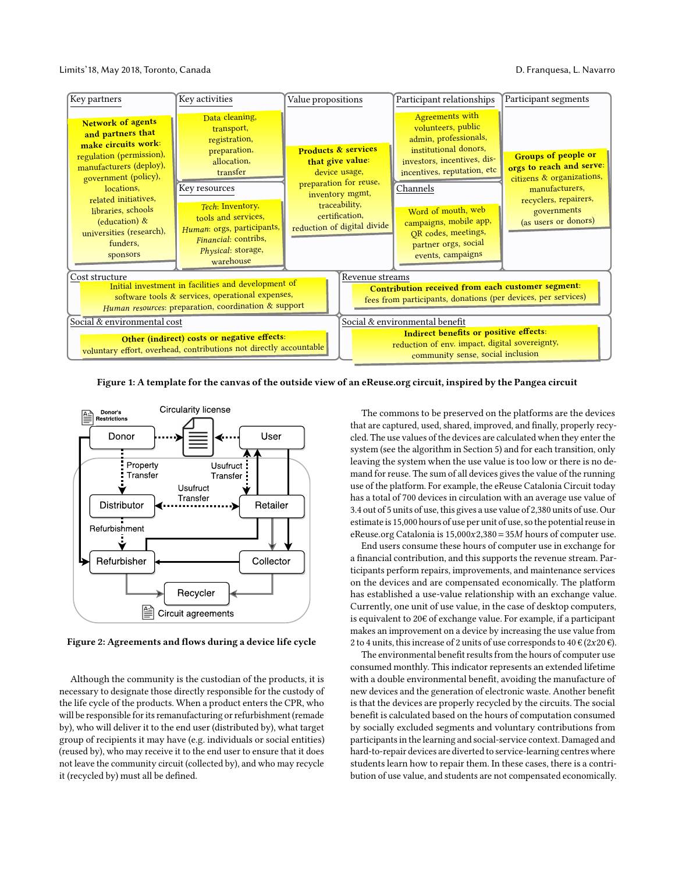#### Limits'18, May 2018, Toronto, Canada D. Franquesa, L. Navarro

<span id="page-3-0"></span>

Figure 1: A template for the canvas of the outside view of an eReuse.org circuit, inspired by the Pangea circuit

<span id="page-3-1"></span>

Figure 2: Agreements and flows during a device life cycle

Although the community is the custodian of the products, it is necessary to designate those directly responsible for the custody of the life cycle of the products. When a product enters the CPR, who will be responsible for its remanufacturing or refurbishment (remade by), who will deliver it to the end user (distributed by), what target group of recipients it may have (e.g. individuals or social entities) (reused by), who may receive it to the end user to ensure that it does not leave the community circuit (collected by), and who may recycle it (recycled by) must all be defined.

The commons to be preserved on the platforms are the devices that are captured, used, shared, improved, and finally, properly recycled. The use values of the devices are calculated when they enter the system (see the algorithm in Section [5\)](#page-6-0) and for each transition, only leaving the system when the use value is too low or there is no demand for reuse. The sum of all devices gives the value of the running use of the platform. For example, the eReuse Catalonia Circuit today has a total of 700 devices in circulation with an average use value of 3.4 out of 5 units of use, this gives a use value of 2,380 units of use. Our estimate is 15,000 hours of use per unit of use, so the potential reuse in eReuse.org Catalonia is  $15,000x2,380=35M$  hours of computer use.

End users consume these hours of computer use in exchange for a financial contribution, and this supports the revenue stream. Participants perform repairs, improvements, and maintenance services on the devices and are compensated economically. The platform has established a use-value relationship with an exchange value. Currently, one unit of use value, in the case of desktop computers, is equivalent to 20€ of exchange value. For example, if a participant makes an improvement on a device by increasing the use value from 2 to 4 units, this increase of 2 units of use corresponds to  $40 \in (2x20 \epsilon)$ .

The environmental benefit results from the hours of computer use consumed monthly. This indicator represents an extended lifetime with a double environmental benefit, avoiding the manufacture of new devices and the generation of electronic waste. Another benefit is that the devices are properly recycled by the circuits. The social benefit is calculated based on the hours of computation consumed by socially excluded segments and voluntary contributions from participants in the learning and social-service context. Damaged and hard-to-repair devices are diverted to service-learning centres where students learn how to repair them. In these cases, there is a contribution of use value, and students are not compensated economically.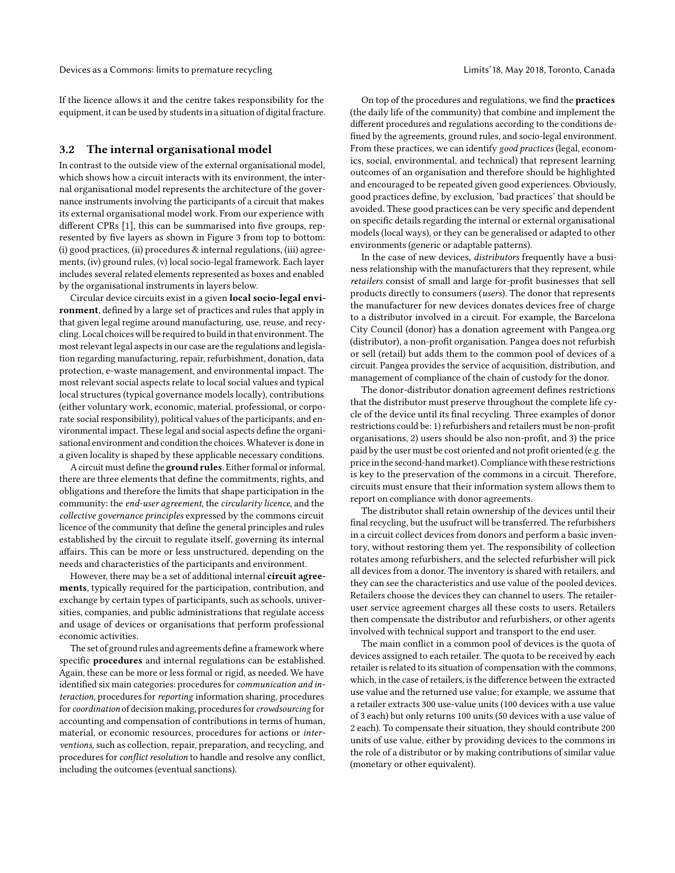If the licence allows it and the centre takes responsibility for the equipment, it can be used by students in a situation of digital fracture.

#### 3.2 The internal organisational model

In contrast to the outside view of the external organisational model, which shows how a circuit interacts with its environment, the internal organisational model represents the architecture of the governance instruments involving the participants of a circuit that makes its external organisational model work. From our experience with different CPRs [\[1\]](#page-8-5), this can be summarised into five groups, represented by five layers as shown in Figure [3](#page-5-1) from top to bottom: (i) good practices, (ii) procedures & internal regulations, (iii) agreements, (iv) ground rules, (v) local socio-legal framework. Each layer includes several related elements represented as boxes and enabled by the organisational instruments in layers below.

Circular device circuits exist in a given local socio-legal environment, defined by a large set of practices and rules that apply in that given legal regime around manufacturing, use, reuse, and recycling. Local choices will be required to build in that environment. The most relevant legal aspects in our case are the regulations and legislation regarding manufacturing, repair, refurbishment, donation, data protection, e-waste management, and environmental impact. The most relevant social aspects relate to local social values and typical local structures (typical governance models locally), contributions (either voluntary work, economic, material, professional, or corporate social responsibility), political values of the participants, and environmental impact. These legal and social aspects define the organisational environment and condition the choices. Whatever is done in a given locality is shaped by these applicable necessary conditions.

A circuit must define the ground rules. Either formal or informal, there are three elements that define the commitments, rights, and obligations and therefore the limits that shape participation in the community: the end-user agreement, the circularity licence, and the collective governance principles expressed by the commons circuit licence of the community that define the general principles and rules established by the circuit to regulate itself, governing its internal affairs. This can be more or less unstructured, depending on the needs and characteristics of the participants and environment.

However, there may be a set of additional internal circuit agreements, typically required for the participation, contribution, and exchange by certain types of participants, such as schools, universities, companies, and public administrations that regulate access and usage of devices or organisations that perform professional economic activities.

The set of ground rules and agreements define a framework where specific procedures and internal regulations can be established. Again, these can be more or less formal or rigid, as needed. We have identified six main categories: procedures for communication and interaction, procedures for reporting information sharing, procedures for coordination of decision making, procedures for crowdsourcing for accounting and compensation of contributions in terms of human, material, or economic resources, procedures for actions or interventions, such as collection, repair, preparation, and recycling, and procedures for conflict resolution to handle and resolve any conflict, including the outcomes (eventual sanctions).

On top of the procedures and regulations, we find the practices (the daily life of the community) that combine and implement the different procedures and regulations according to the conditions defined by the agreements, ground rules, and socio-legal environment. From these practices, we can identify good practices (legal, economics, social, environmental, and technical) that represent learning outcomes of an organisation and therefore should be highlighted and encouraged to be repeated given good experiences. Obviously, good practices define, by exclusion, 'bad practices' that should be avoided. These good practices can be very specific and dependent on specific details regarding the internal or external organisational models (local ways), or they can be generalised or adapted to other environments (generic or adaptable patterns).

In the case of new devices, distributors frequently have a business relationship with the manufacturers that they represent, while retailers consist of small and large for-profit businesses that sell products directly to consumers (users). The donor that represents the manufacturer for new devices donates devices free of charge to a distributor involved in a circuit. For example, the Barcelona City Council (donor) has a donation agreement with Pangea.org (distributor), a non-profit organisation. Pangea does not refurbish or sell (retail) but adds them to the common pool of devices of a circuit. Pangea provides the service of acquisition, distribution, and management of compliance of the chain of custody for the donor.

The donor-distributor donation agreement defines restrictions that the distributor must preserve throughout the complete life cycle of the device until its final recycling. Three examples of donor restrictions could be: 1) refurbishers and retailers must be non-profit organisations, 2) users should be also non-profit, and 3) the price paid by the user must be cost oriented and not profit oriented (e.g. the price in the second-hand market). Compliance with these restrictions is key to the preservation of the commons in a circuit. Therefore, circuits must ensure that their information system allows them to report on compliance with donor agreements.

The distributor shall retain ownership of the devices until their final recycling, but the usufruct will be transferred. The refurbishers in a circuit collect devices from donors and perform a basic inventory, without restoring them yet. The responsibility of collection rotates among refurbishers, and the selected refurbisher will pick all devices from a donor. The inventory is shared with retailers, and they can see the characteristics and use value of the pooled devices. Retailers choose the devices they can channel to users. The retaileruser service agreement charges all these costs to users. Retailers then compensate the distributor and refurbishers, or other agents involved with technical support and transport to the end user.

The main conflict in a common pool of devices is the quota of devices assigned to each retailer. The quota to be received by each retailer is related to its situation of compensation with the commons, which, in the case of retailers, is the difference between the extracted use value and the returned use value; for example, we assume that a retailer extracts 300 use-value units (100 devices with a use value of 3 each) but only returns 100 units (50 devices with a use value of 2 each). To compensate their situation, they should contribute 200 units of use value, either by providing devices to the commons in the role of a distributor or by making contributions of similar value (monetary or other equivalent).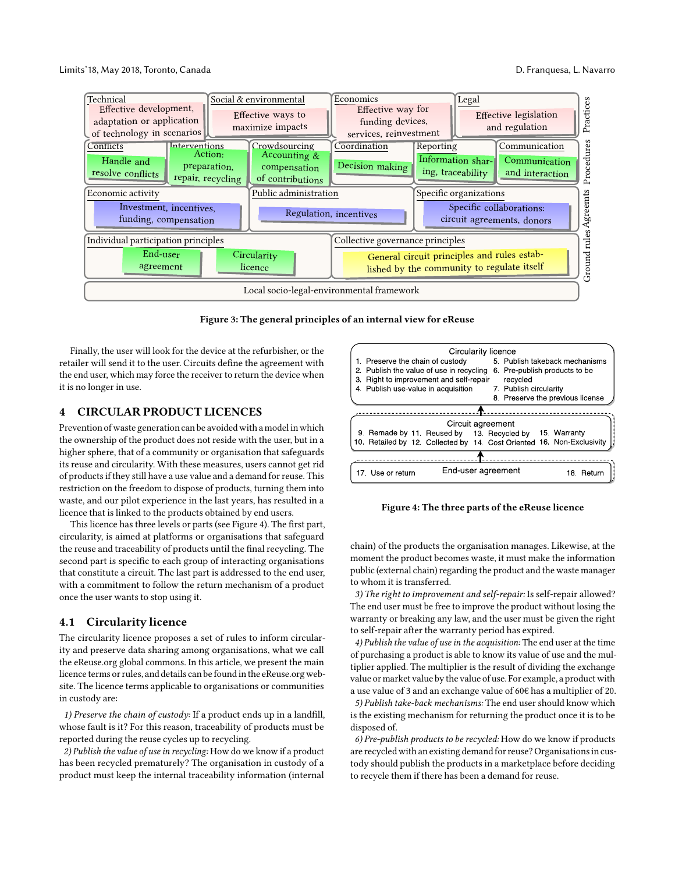Limits'18, May 2018, Toronto, Canada D. Franquesa, L. Navarro

<span id="page-5-1"></span>

Figure 3: The general principles of an internal view for eReuse

Finally, the user will look for the device at the refurbisher, or the retailer will send it to the user. Circuits define the agreement with the end user, which may force the receiver to return the device when it is no longer in use.

# <span id="page-5-0"></span>4 CIRCULAR PRODUCT LICENCES

Prevention of waste generation can be avoided with a model in which the ownership of the product does not reside with the user, but in a higher sphere, that of a community or organisation that safeguards its reuse and circularity. With these measures, users cannot get rid of products if they still have a use value and a demand for reuse. This restriction on the freedom to dispose of products, turning them into waste, and our pilot experience in the last years, has resulted in a licence that is linked to the products obtained by end users.

This licence has three levels or parts (see Figure [4\)](#page-5-2). The first part, circularity, is aimed at platforms or organisations that safeguard the reuse and traceability of products until the final recycling. The second part is specific to each group of interacting organisations that constitute a circuit. The last part is addressed to the end user, with a commitment to follow the return mechanism of a product once the user wants to stop using it.

# 4.1 Circularity licence

The circularity licence proposes a set of rules to inform circularity and preserve data sharing among organisations, what we call the eReuse.org global commons. In this article, we present the main licence terms or rules, and details can be found in the eReuse.org website. The licence terms applicable to organisations or communities in custody are:

1) Preserve the chain of custody: If a product ends up in a landfill, whose fault is it? For this reason, traceability of products must be reported during the reuse cycles up to recycling.

2) Publish the value of use in recycling: How do we know if a product has been recycled prematurely? The organisation in custody of a product must keep the internal traceability information (internal

<span id="page-5-2"></span>

Figure 4: The three parts of the eReuse licence

chain) of the products the organisation manages. Likewise, at the moment the product becomes waste, it must make the information public (external chain) regarding the product and the waste manager to whom it is transferred.

3) The right to improvement and self-repair: Is self-repair allowed? The end user must be free to improve the product without losing the warranty or breaking any law, and the user must be given the right to self-repair after the warranty period has expired.

4) Publish the value of use in the acquisition: The end user at the time of purchasing a product is able to know its value of use and the multiplier applied. The multiplier is the result of dividing the exchange value or market value by the value of use. For example, a product with a use value of 3 and an exchange value of 60€ has a multiplier of 20.

5) Publish take-back mechanisms: The end user should know which is the existing mechanism for returning the product once it is to be disposed of.

6) Pre-publish products to be recycled: How do we know if products are recycled with an existing demand for reuse? Organisations in custody should publish the products in a marketplace before deciding to recycle them if there has been a demand for reuse.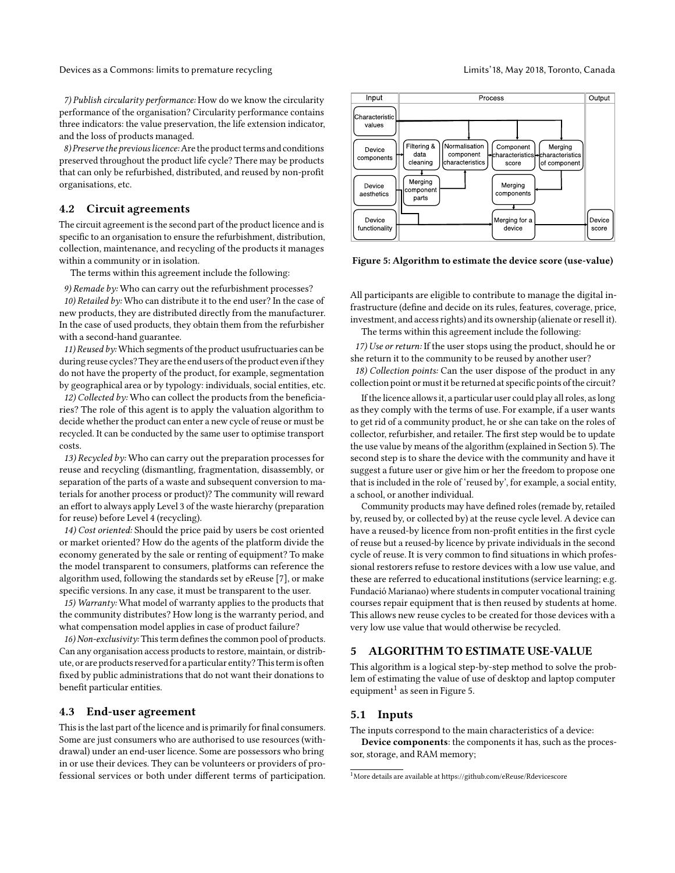7) Publish circularity performance: How do we know the circularity performance of the organisation? Circularity performance contains three indicators: the value preservation, the life extension indicator, and the loss of products managed.

8) Preserve the previous licence:Are the product terms and conditions preserved throughout the product life cycle? There may be products that can only be refurbished, distributed, and reused by non-profit organisations, etc.

#### 4.2 Circuit agreements

The circuit agreement is the second part of the product licence and is specific to an organisation to ensure the refurbishment, distribution, collection, maintenance, and recycling of the products it manages within a community or in isolation.

The terms within this agreement include the following:

9) Remade by: Who can carry out the refurbishment processes?

10) Retailed by: Who can distribute it to the end user? In the case of new products, they are distributed directly from the manufacturer. In the case of used products, they obtain them from the refurbisher with a second-hand guarantee.

11) Reused by: Which segments of the product usufructuaries can be during reuse cycles? They are the end users of the product evenif they do not have the property of the product, for example, segmentation by geographical area or by typology: individuals, social entities, etc.

 $12)$  Collected by: Who can collect the products from the beneficiaries? The role of this agent is to apply the valuation algorithm to decide whether the product can enter a new cycle of reuse or must be recycled. It can be conducted by the same user to optimise transport costs.

13) Recycled by: Who can carry out the preparation processes for reuse and recycling (dismantling, fragmentation, disassembly, or separation of the parts of a waste and subsequent conversion to materials for another process or product)? The community will reward an effort to always apply Level 3 of the waste hierarchy (preparation for reuse) before Level 4 (recycling).

14) Cost oriented: Should the price paid by users be cost oriented or market oriented? How do the agents of the platform divide the economy generated by the sale or renting of equipment? To make the model transparent to consumers, platforms can reference the algorithm used, following the standards set by eReuse [\[7\]](#page-9-11), or make specific versions. In any case, it must be transparent to the user.

15) Warranty: What model of warranty applies to the products that the community distributes? How long is the warranty period, and what compensation model applies in case of product failure?

16) Non-exclusivity: This term defines the common pool of products. Can any organisation access products to restore, maintain, or distribute, or are products reserved for a particular entity? This term is often fixed by public administrations that do not want their donations to benefit particular entities.

#### 4.3 End-user agreement

This is the last part of the licence and is primarily for final consumers. Some are just consumers who are authorised to use resources (withdrawal) under an end-user licence. Some are possessors who bring in or use their devices. They can be volunteers or providers of professional services or both under different terms of participation.

<span id="page-6-2"></span>

Figure 5: Algorithm to estimate the device score (use-value)

All participants are eligible to contribute to manage the digital infrastructure (define and decide on its rules, features, coverage, price, investment, and access rights) and its ownership (alienate or resell it).

The terms within this agreement include the following:

17) Use or return: If the user stops using the product, should he or she return it to the community to be reused by another user?

18) Collection points: Can the user dispose of the product in any collection point or must it be returned at specific points of the circuit?

If the licence allows it, a particular user could play all roles, as long as they comply with the terms of use. For example, if a user wants to get rid of a community product, he or she can take on the roles of collector, refurbisher, and retailer. The first step would be to update the use value by means of the algorithm (explained in Section [5\)](#page-6-0). The second step is to share the device with the community and have it suggest a future user or give him or her the freedom to propose one that is included in the role of 'reused by', for example, a social entity, a school, or another individual.

Community products may have defined roles (remade by, retailed by, reused by, or collected by) at the reuse cycle level. A device can have a reused-by licence from non-profit entities in the first cycle of reuse but a reused-by licence by private individuals in the second cycle of reuse. It is very common to find situations in which professional restorers refuse to restore devices with a low use value, and these are referred to educational institutions (service learning; e.g. Fundació Marianao) where students in computer vocational training courses repair equipment that is then reused by students at home. This allows new reuse cycles to be created for those devices with a very low use value that would otherwise be recycled.

#### <span id="page-6-0"></span>5 ALGORITHM TO ESTIMATE USE-VALUE

This algorithm is a logical step-by-step method to solve the problem of estimating the value of use of desktop and laptop computer equipment $^1$  $^1$  as seen in Figure [5.](#page-6-2)

#### 5.1 Inputs

The inputs correspond to the main characteristics of a device:

Device components: the components it has, such as the processor, storage, and RAM memory;

<span id="page-6-1"></span> $1$ More details are available at<https://github.com/eReuse/Rdevicescore>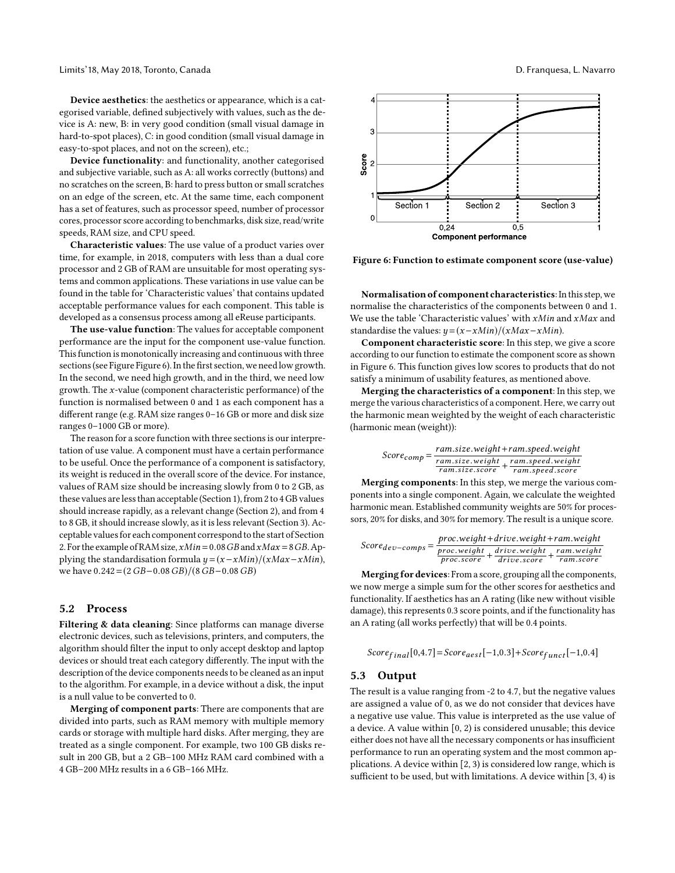Device aesthetics: the aesthetics or appearance, which is a categorised variable, defined subjectively with values, such as the device is A: new, B: in very good condition (small visual damage in hard-to-spot places), C: in good condition (small visual damage in easy-to-spot places, and not on the screen), etc.;

Device functionality: and functionality, another categorised and subjective variable, such as A: all works correctly (buttons) and no scratches on the screen, B: hard to press button or small scratches on an edge of the screen, etc. At the same time, each component has a set of features, such as processor speed, number of processor cores, processor score according to benchmarks, disk size, read/write speeds, RAM size, and CPU speed.

Characteristic values: The use value of a product varies over time, for example, in 2018, computers with less than a dual core processor and 2 GB of RAM are unsuitable for most operating systems and common applications. These variations in use value can be found in the table for 'Characteristic values' that contains updated acceptable performance values for each component. This table is developed as a consensus process among all eReuse participants.

The use-value function: The values for acceptable component performance are the input for the component use-value function. This function is monotonically increasing and continuous with three sections(see Figure Figur[e 6\)](#page-7-0).In the first section, we need low growth. In the second, we need high growth, and in the third, we need low growth. The x-value (component characteristic performance) of the function is normalised between 0 and 1 as each component has a different range (e.g. RAM size ranges 0–16 GB or more and disk size ranges 0–1000 GB or more).

The reason for a score function with three sections is our interpretation of use value. A component must have a certain performance to be useful. Once the performance of a component is satisfactory, its weight is reduced in the overall score of the device. For instance, values of RAM size should be increasing slowly from 0 to 2 GB, as these values are less than acceptable(Section 1), from 2 to 4 GB values should increase rapidly, as a relevant change (Section 2), and from 4 to 8 GB, it should increase slowly, as it is less relevant (Section 3). Acceptable values for each component correspond to the start of Section 2. For the example of RAM size,  $xMin = 0.08$  GB and  $xMax = 8$  GB. Applying the standardisation formula  $y = (x - xMin)/(xMax - xMin)$ , we have  $0.242 = (2 GB - 0.08 GB)/(8 GB - 0.08 GB)$ 

#### 5.2 Process

Filtering & data cleaning: Since platforms can manage diverse electronic devices, such as televisions, printers, and computers, the algorithm should filter the input to only accept desktop and laptop devices or should treat each category differently. The input with the description of the device components needs to be cleaned as an input to the algorithm. For example, in a device without a disk, the input is a null value to be converted to 0.

Merging of component parts: There are components that are divided into parts, such as RAM memory with multiple memory cards or storage with multiple hard disks. After merging, they are treated as a single component. For example, two 100 GB disks result in 200 GB, but a 2 GB–100 MHz RAM card combined with a 4 GB–200 MHz results in a 6 GB–166 MHz.

<span id="page-7-0"></span>

Figure 6: Function to estimate component score (use-value)

Normalisation of component characteristics: In this step, we normalise the characteristics of the components between 0 and 1. We use the table 'Characteristic values' with  $xMin$  and  $xMax$  and standardise the values:  $y = (x - xMin)/(xMax-xMin)$ .

Component characteristic score: In this step, we give a score according to our function to estimate the component score as shown in Figure [6.](#page-7-0) This function gives low scores to products that do not satisfy a minimum of usability features, as mentioned above.

Merging the characteristics of a component: In this step, we merge the various characteristics of a component. Here, we carry out the harmonic mean weighted by the weight of each characteristic (harmonic mean (weight)):

$$
Score_{comp} = \frac{ram.size-weight + ram speed-weight}{ram.size-weight} + ram speed-weight
$$

*rum.size.weight*<br> *ram.size.score* + *ram.speed.score*<br> **Merging components**: In this step, we merge the various components into a single component. Again, we calculate the weighted harmonic mean. Established community weights are 50% for processors, 20% for disks, and 30% for memory. The result is a unique score.

$$
Score_{dev-comps} = \frac{proc.weight + drive.weight + ram. weight}{proc. weight + drive. weight + ram. weight}{proc. score + \frac{drive. weight}{drive. score} + \frac{ram. weight}{ram. score}}
$$

Merging for devices: From a score, grouping all the components, we now merge a simple sum for the other scores for aesthetics and functionality. If aesthetics has an A rating (like new without visible damage), this represents 0.3 score points, and if the functionality has an A rating (all works perfectly) that will be 0.4 points.

$$
Score_{final}[0,4.7] = Score_{dest}[-1,0.3] + Score_{funct}[-1,0.4]
$$

#### 5.3 Output

The result is a value ranging from -2 to 4.7, but the negative values are assigned a value of 0, as we do not consider that devices have a negative use value. This value is interpreted as the use value of a device. A value within [0, 2) is considered unusable; this device either does not have all the necessary components or has insufficient performance to run an operating system and the most common applications. A device within [2, 3) is considered low range, which is sufficient to be used, but with limitations. A device within [3, 4) is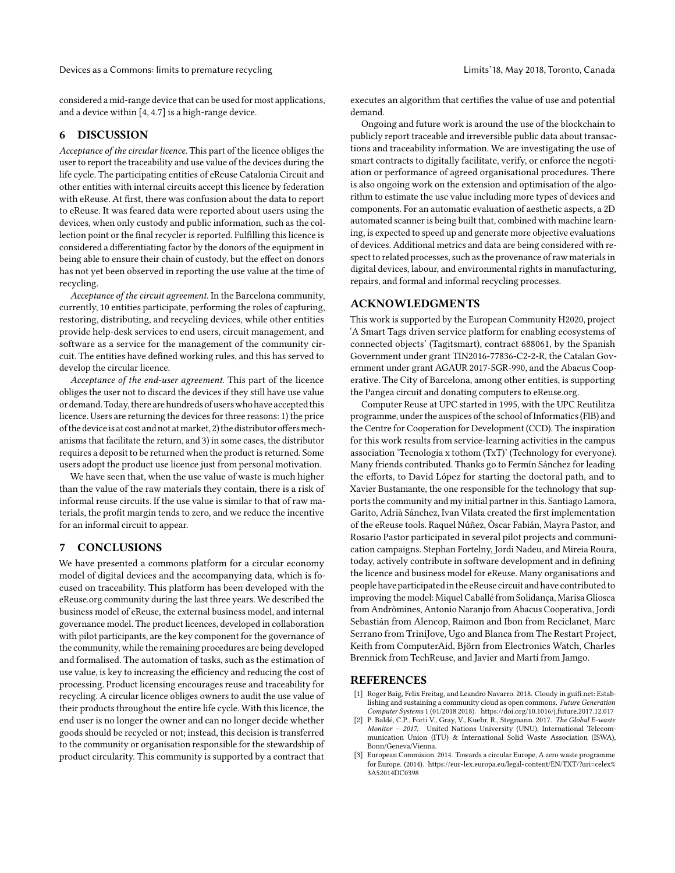Devices as a Commons: limits to premature recycling Limits' 18, May 2018, Toronto, Canada

considered a mid-range device that can be used for most applications, and a device within [4, 4.7] is a high-range device.

# <span id="page-8-2"></span>6 DISCUSSION

Acceptance of the circular licence. This part of the licence obliges the user to report the traceability and use value of the devices during the life cycle. The participating entities of eReuse Catalonia Circuit and other entities with internal circuits accept this licence by federation with eReuse. At first, there was confusion about the data to report to eReuse. It was feared data were reported about users using the devices, when only custody and public information, such as the collection point or the final recycler is reported. Fulfilling this licence is considered a differentiating factor by the donors of the equipment in being able to ensure their chain of custody, but the effect on donors has not yet been observed in reporting the use value at the time of recycling.

Acceptance of the circuit agreement. In the Barcelona community, currently, 10 entities participate, performing the roles of capturing, restoring, distributing, and recycling devices, while other entities provide help-desk services to end users, circuit management, and software as a service for the management of the community circuit. The entities have defined working rules, and this has served to develop the circular licence.

Acceptance of the end-user agreement. This part of the licence obliges the user not to discard the devices if they still have use value or demand. Today, there are hundreds of userswho have accepted this licence. Users are returning the devices for three reasons: 1) the price of the device is at cost and not at market, 2) the distributor offers mechanisms that facilitate the return, and 3) in some cases, the distributor requires a deposit to be returned when the product is returned. Some users adopt the product use licence just from personal motivation.

We have seen that, when the use value of waste is much higher than the value of the raw materials they contain, there is a risk of informal reuse circuits. If the use value is similar to that of raw materials, the profit margin tends to zero, and we reduce the incentive for an informal circuit to appear.

# <span id="page-8-3"></span>7 CONCLUSIONS

We have presented a commons platform for a circular economy model of digital devices and the accompanying data, which is focused on traceability. This platform has been developed with the eReuse.org community during the last three years. We described the business model of eReuse, the external business model, and internal governance model. The product licences, developed in collaboration with pilot participants, are the key component for the governance of the community, while the remaining procedures are being developed and formalised. The automation of tasks, such as the estimation of use value, is key to increasing the efficiency and reducing the cost of processing. Product licensing encourages reuse and traceability for recycling. A circular licence obliges owners to audit the use value of their products throughout the entire life cycle. With this licence, the end user is no longer the owner and can no longer decide whether goods should be recycled or not; instead, this decision is transferred to the community or organisation responsible for the stewardship of product circularity. This community is supported by a contract that

executes an algorithm that certifies the value of use and potential demand.

Ongoing and future work is around the use of the blockchain to publicly report traceable and irreversible public data about transactions and traceability information. We are investigating the use of smart contracts to digitally facilitate, verify, or enforce the negotiation or performance of agreed organisational procedures. There is also ongoing work on the extension and optimisation of the algorithm to estimate the use value including more types of devices and components. For an automatic evaluation of aesthetic aspects, a 2D automated scanner is being built that, combined with machine learning, is expected to speed up and generate more objective evaluations of devices. Additional metrics and data are being considered with respect to related processes, such as the provenance of raw materials in digital devices, labour, and environmental rights in manufacturing, repairs, and formal and informal recycling processes.

### ACKNOWLEDGMENTS

<span id="page-8-1"></span>This work is supported by the European Community H2020, project 'A Smart Tags driven service platform for enabling ecosystems of connected objects' (Tagitsmart), contract 688061, by the Spanish Government under grant TIN2016-77836-C2-2-R, the Catalan Government under grant AGAUR 2017-SGR-990, and the Abacus Cooperative. The City of Barcelona, among other entities, is supporting the Pangea circuit and donating computers to eReuse.org.

Computer Reuse at UPC started in 1995, with the UPC Reutilitza programme, under the auspices of the school of Informatics (FIB) and the Centre for Cooperation for Development (CCD). The inspiration for this work results from service-learning activities in the campus association 'Tecnologia x tothom (TxT)' (Technology for everyone). Many friends contributed. Thanks go to Fermín Sánchez for leading the efforts, to David López for starting the doctoral path, and to Xavier Bustamante, the one responsible for the technology that supports the community and my initial partner in this. Santiago Lamora, Garito, Adrià Sánchez, Ivan Vilata created the first implementation of the eReuse tools. Raquel Núñez, Óscar Fabián, Mayra Pastor, and Rosario Pastor participated in several pilot projects and communication campaigns. Stephan Fortelny, Jordi Nadeu, and Mireia Roura, today, actively contribute in software development and in defining the licence and business model for eReuse. Many organisations and people have participatedin the eReuse circuit and have contributed to improving the model: Miquel Caballé from Solidança, Marisa Gliosca from Andròmines, Antonio Naranjo from Abacus Cooperativa, Jordi Sebastián from Alencop, Raimon and Ibon from Reciclanet, Marc Serrano from TriniJove, Ugo and Blanca from The Restart Project, Keith from ComputerAid, Björn from Electronics Watch, Charles Brennick from TechReuse, and Javier and Martí from Jamgo.

#### REFERENCES

- <span id="page-8-5"></span>[1] Roger Baig, Felix Freitag, and Leandro Navarro. 2018. Cloudy in guifi.net: Establishing and sustaining a community cloud as open commons. Future Generation Computer Systems 1 (01/2018 2018).<https://doi.org/10.1016/j.future.2017.12.017>
- <span id="page-8-0"></span>[2] P. Baldé, C.P., Forti V., Gray, V., Kuehr, R., Stegmann. 2017. The Global E-waste Monitor – 2017. United Nations University (UNU), International Telecommunication Union (ITU) & International Solid Waste Association (ISWA), Bonn/Geneva/Vienna.
- <span id="page-8-4"></span>[3] European Commision. 2014. Towards a circular Europe, A zero waste programme for Europe. (2014). [https://eur-lex.europa.eu/legal-content/EN/TXT/?uri=celex%](https://eur-lex.europa.eu/legal-content/EN/TXT/?uri=celex%3A52014DC0398) [3A52014DC0398](https://eur-lex.europa.eu/legal-content/EN/TXT/?uri=celex%3A52014DC0398)